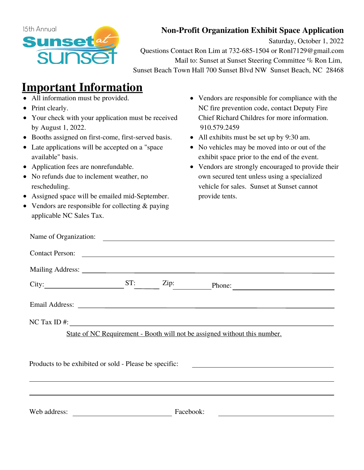

## **Non-Profit Organization Exhibit Space Application**

Saturday, October 1, 2022

Questions Contact Ron Lim at 732-685-1504 or Ronl7129@gmail.com Mail to: Sunset at Sunset Steering Committee % Ron Lim, Sunset Beach Town Hall 700 Sunset Blvd NW Sunset Beach, NC 28468

## **Important Information**

- All information must be provided.
- Print clearly.
- Your check with your application must be received by August 1, 2022.
- Booths assigned on first-come, first-served basis.
- Late applications will be accepted on a "space available" basis.
- Application fees are nonrefundable.
- No refunds due to inclement weather, no rescheduling.
- Assigned space will be emailed mid-September.
- Vendors are responsible for collecting & paying applicable NC Sales Tax.
- Vendors are responsible for compliance with the NC fire prevention code, contact Deputy Fire Chief Richard Childres for more information. 910.579.2459
- All exhibits must be set up by 9:30 am.
- No vehicles may be moved into or out of the exhibit space prior to the end of the event.
- Vendors are strongly encouraged to provide their own secured tent unless using a specialized vehicle for sales. Sunset at Sunset cannot provide tents.

|                                                                                   |  |  | Name of Organization:                                                                                                 |  |  |
|-----------------------------------------------------------------------------------|--|--|-----------------------------------------------------------------------------------------------------------------------|--|--|
|                                                                                   |  |  | Contact Person:                                                                                                       |  |  |
|                                                                                   |  |  |                                                                                                                       |  |  |
| $City:$ $ST:$                                                                     |  |  | Zip: Phone:                                                                                                           |  |  |
|                                                                                   |  |  |                                                                                                                       |  |  |
| $NC$ Tax ID #:                                                                    |  |  |                                                                                                                       |  |  |
|                                                                                   |  |  | State of NC Requirement - Booth will not be assigned without this number.                                             |  |  |
| Products to be exhibited or sold - Please be specific: __________________________ |  |  |                                                                                                                       |  |  |
|                                                                                   |  |  |                                                                                                                       |  |  |
| Web address: Facebook:                                                            |  |  | <u> 1989 - Andrea State Barbara, amerikan personal di sebagai personal di sebagai personal di sebagai personal di</u> |  |  |